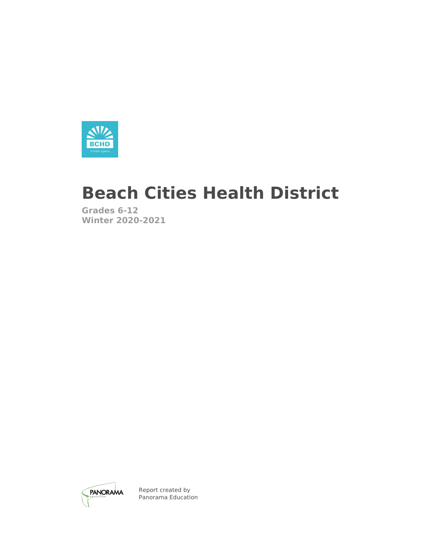

# **Beach Cities Health District**

**Grades 6-12 Winter 2020-2021**



Report created by Panorama Education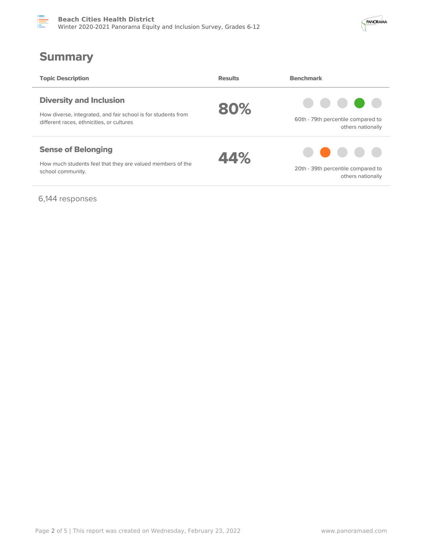



### **Summary**

| <b>Topic Description</b>                                                                                   | <b>Results</b> | <b>Benchmark</b>                                        |
|------------------------------------------------------------------------------------------------------------|----------------|---------------------------------------------------------|
| <b>Diversity and Inclusion</b>                                                                             | 80%            | .                                                       |
| How diverse, integrated, and fair school is for students from<br>different races, ethnicities, or cultures |                | 60th - 79th percentile compared to<br>others nationally |
| <b>Sense of Belonging</b>                                                                                  | 44%            | .                                                       |
| How much students feel that they are valued members of the<br>school community.                            |                | 20th - 39th percentile compared to<br>others nationally |

6,144 responses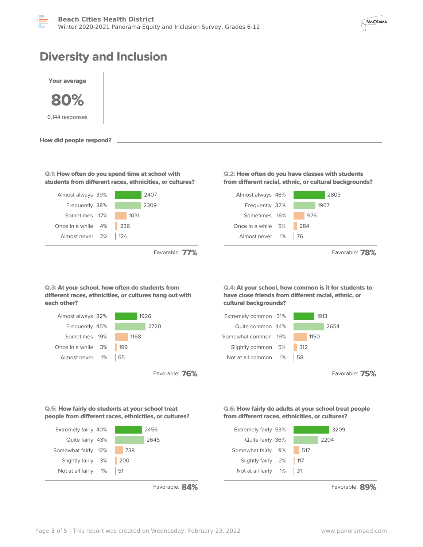

## **Diversity and Inclusion**



**How did people respond?**

**each other?**

#### **Q.1: How often do you spend time at school with students from different races, ethnicities, or cultures?**



Favorable: **77%**

#### **Q.2: How often do you have classes with students from different racial, ethnic, or cultural backgrounds?**



Favorable: **78%**

#### **Q.3: At your school, how often do students from different races, ethnicities, or cultures hang out with Q.4: At your school, how common is it for students to have close friends from different racial, ethnic, or cultural backgrounds?**



Favorable: **75%**

#### **Q.5: How fairly do students at your school treat people from different races, ethnicities, or cultures?**

Almost always 32% 1926 Frequently 45% 2720

Sometimes 19% 1168

Once in a while 3% | 199 Almost never 1% 65



Favorable: **84%**

Favorable: **76%**

**Q.6: How fairly do adults at your school treat people from different races, ethnicities, or cultures?**



Favorable: **89%**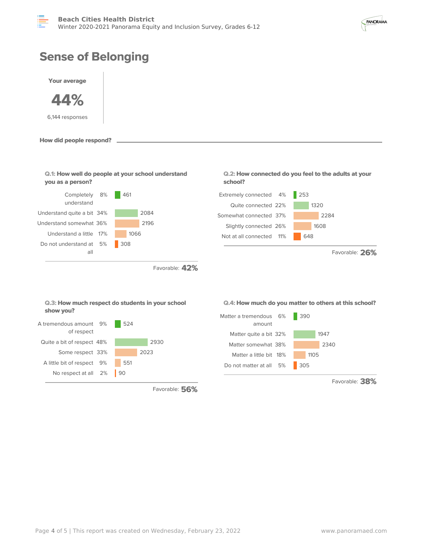

## **Sense of Belonging**







Favorable: **38%**

Favorable: **56%**